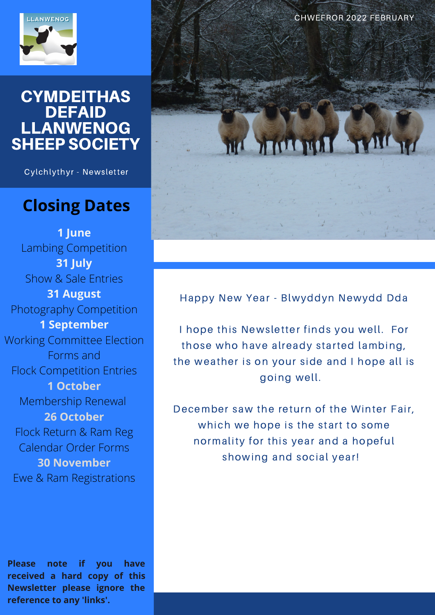

#### **CYMDEITHAS DEFAID** LLANWENOG SHEEP SOCIETY

Cylchlythyr - Newsletter

### **Closing Dates**

**1 June** Lambing Competition **31 July** Show & Sale Entries **31 August** Photography Competition **1 September** Working Committee Election Forms and Flock Competition Entries **1 October** Membership Renewal **26 October** Flock Return & Ram Reg Calendar Order Forms **30 November** Ewe & Ram Registrations

**Please note if you have received a hard copy of this Newsletter please ignore the reference to any 'links'.** 



Happy New Year - Blwyddyn Newydd Dda

I hope this Newsletter finds you well. For those who have already started lambing, the weather is on your side and I hope all is going well.

December saw the return of the Winter Fair, which we hope is the start to some normality for this year and a hopeful showing and social year!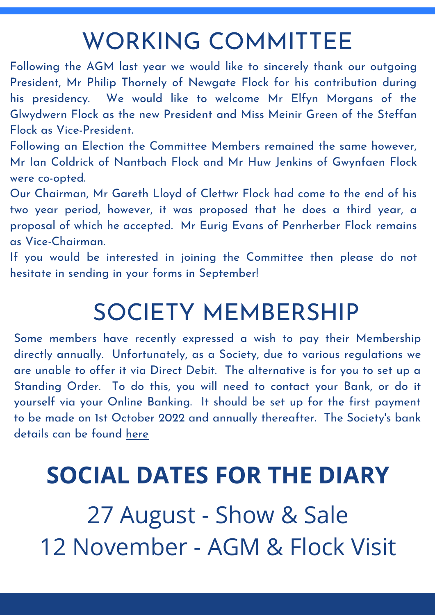## WORKING COMMITTEE

Flock as Vice-President. Following the AGM last year we would like to sincerely thank our outgoing President, Mr Philip Thornely of Newgate Flock for his contribution during his presidency. We would like to welcome Mr Elfyn Morgans of the Glwydwern Flock as the new President and Miss Meinir Green of the Steffan

Following an Election the Committee Members remained the same however, Mr Ian Coldrick of Nantbach Flock and Mr Huw Jenkins of Gwynfaen Flock were co-opted.

Our Chairman, Mr Gareth Lloyd of Clettwr Flock had come to the end of his two year period, however, it was proposed that he does a third year, a proposal of which he accepted. Mr Eurig Evans of Penrherber Flock remains as Vice-Chairman.

If you would be interested in joining the Committee then please do not hesitate in sending in your forms in September!

# SOCIETY MEMBERSHIP

Some members have recently expressed a wish to pay their Membership directly annually. Unfortunately, as a Society, due to various regulations we are unable to offer it via Direct Debit. The alternative is for you to set up a Standing Order. To do this, you will need to contact your Bank, or do it yourself via your Online Banking. It should be set up for the first payment to be made on 1st October 2022 and annually thereafter. The Society's bank details can be found [here](https://www.llanwenog-sheep.co.uk/images/members/Membership_Forms/Bank_Details.pdf)

## **SOCIAL DATES FOR THE DIARY**

27 August - Show & Sale 12 November - AGM & Flock Visit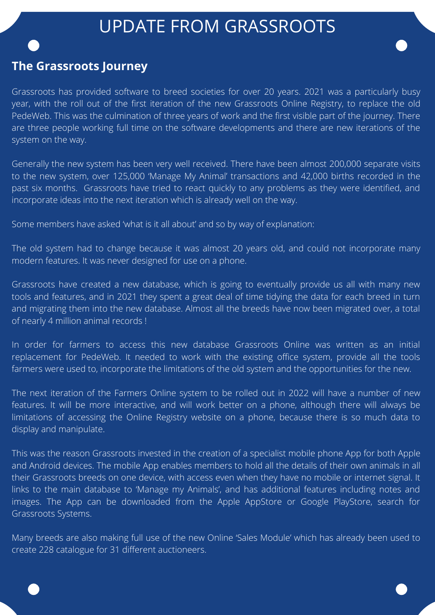## UPDATE FROM GRASSROOTS

#### **The Grassroots Journey**

Grassroots has provided software to breed societies for over 20 years. 2021 was a particularly busy year, with the roll out of the first iteration of the new Grassroots Online Registry, to replace the old PedeWeb. This was the culmination of three years of work and the first visible part of the journey. There are three people working full time on the software developments and there are new iterations of the system on the way.

Generally the new system has been very well received. There have been almost 200,000 separate visits to the new system, over 125,000 'Manage My Animal' transactions and 42,000 births recorded in the past six months. Grassroots have tried to react quickly to any problems as they were identified, and incorporate ideas into the next iteration which is already well on the way.

Some members have asked 'what is it all about' and so by way of explanation:

The old system had to change because it was almost 20 years old, and could not incorporate many modern features. It was never designed for use on a phone.

Grassroots have created a new database, which is going to eventually provide us all with many new tools and features, and in 2021 they spent a great deal of time tidying the data for each breed in turn and migrating them into the new database. Almost all the breeds have now been migrated over, a total of nearly 4 million animal records !

In order for farmers to access this new database Grassroots Online was written as an initial replacement for PedeWeb. It needed to work with the existing office system, provide all the tools farmers were used to, incorporate the limitations of the old system and the opportunities for the new.

The next iteration of the Farmers Online system to be rolled out in 2022 will have a number of new features. It will be more interactive, and will work better on a phone, although there will always be limitations of accessing the Online Registry website on a phone, because there is so much data to display and manipulate.

This was the reason Grassroots invested in the creation of a specialist mobile phone App for both Apple and Android devices. The mobile App enables members to hold all the details of their own animals in all their Grassroots breeds on one device, with access even when they have no mobile or internet signal. It links to the main database to 'Manage my Animals', and has additional features including notes and images. The App can be downloaded from the Apple AppStore or Google PlayStore, search for Grassroots Systems.

Many breeds are also making full use of the new Online 'Sales Module' which has already been used to create 228 catalogue for 31 different auctioneers.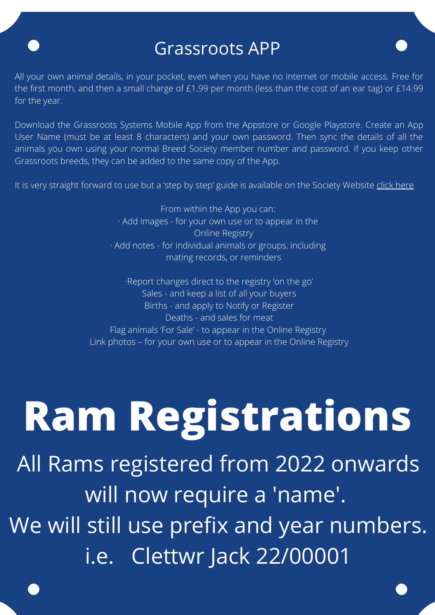## Grassroots APP

All your own animal details, in your pocket, even when you have no internet or mobile access. Free for the first month, and then a small charge of £1.99 per month (less than the cost of an ear tag) or £14.99 for the year.

Download the Grassroots Systems Mobile App from the Appstore or Google Playstore. Create an App User Name (must be at least 8 characters) and your own password. Then sync the details of all the animals you own using your normal Breed Society member number and password. If you keep other Grassroots breeds, they can be added to the same copy of the App.

It is very straight forward to use but a 'step by step' guide is available on the Society Website [click here](https://www.llanwenog-sheep.co.uk/images/Grassroots_App_Step_by_Step_User_Guide-compressed.pdf)

From within the App you can: · Add images - for your own use or to appear in the Online Registry · Add notes - for individual animals or groups, including mating records, or reminders

·Report changes direct to the registry 'on the go' Sales - and keep a list of all your buyers Births - and apply to Notify or Register Deaths - and sales for meat Flag animals 'For Sale' - to appear in the Online Registry Link photos – for your own use or to appear in the Online Registry

# **Ram Registrations**

All Rams registered from 2022 onwards will now require a 'name'. We will still use prefix and year numbers. i.e. Clettwr Jack 22/00001